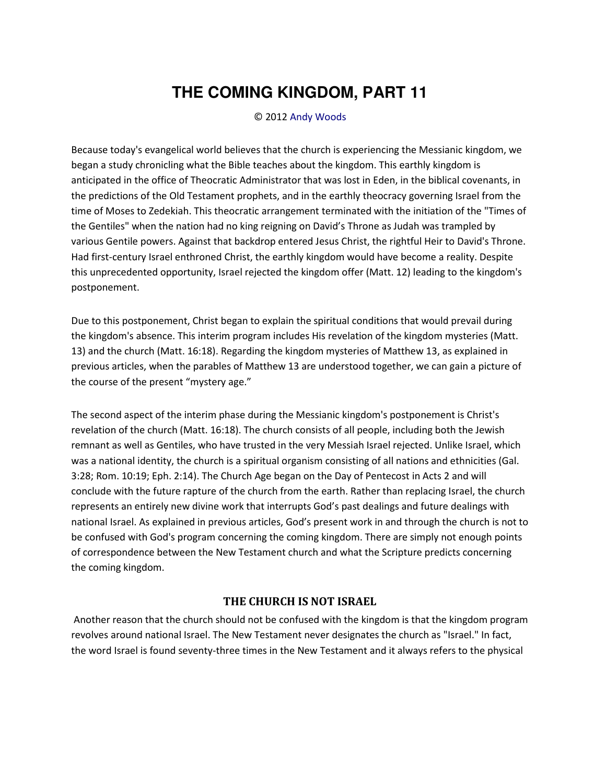# **THE COMING KINGDOM, PART 11**

### © 2012 [Andy Woods](http://www.spiritandtruth.org/id/aw.htm)

Because today's evangelical world believes that the church is experiencing the Messianic kingdom, we began a study chronicling what the Bible teaches about the kingdom. This earthly kingdom is anticipated in the office of Theocratic Administrator that was lost in Eden, in the biblical covenants, in the predictions of the Old Testament prophets, and in the earthly theocracy governing Israel from the time of Moses to Zedekiah. This theocratic arrangement terminated with the initiation of the "Times of the Gentiles" when the nation had no king reigning on David's Throne as Judah was trampled by various Gentile powers. Against that backdrop entered Jesus Christ, the rightful Heir to David's Throne. Had first-century Israel enthroned Christ, the earthly kingdom would have become a reality. Despite this unprecedented opportunity, Israel rejected the kingdom offer (Matt. 12) leading to the kingdom's postponement.

Due to this postponement, Christ began to explain the spiritual conditions that would prevail during the kingdom's absence. This interim program includes His revelation of the kingdom mysteries (Matt. 13) and the church (Matt. 16:18). Regarding the kingdom mysteries of Matthew 13, as explained in previous articles, when the parables of Matthew 13 are understood together, we can gain a picture of the course of the present "mystery age."

The second aspect of the interim phase during the Messianic kingdom's postponement is Christ's revelation of the church (Matt. 16:18). The church consists of all people, including both the Jewish remnant as well as Gentiles, who have trusted in the very Messiah Israel rejected. Unlike Israel, which was a national identity, the church is a spiritual organism consisting of all nations and ethnicities (Gal. 3:28; Rom. 10:19; Eph. 2:14). The Church Age began on the Day of Pentecost in Acts 2 and will conclude with the future rapture of the church from the earth. Rather than replacing Israel, the church represents an entirely new divine work that interrupts God's past dealings and future dealings with national Israel. As explained in previous articles, God's present work in and through the church is not to be confused with God's program concerning the coming kingdom. There are simply not enough points of correspondence between the New Testament church and what the Scripture predicts concerning the coming kingdom.

## **THE CHURCH IS NOT ISRAEL**

 Another reason that the church should not be confused with the kingdom is that the kingdom program revolves around national Israel. The New Testament never designates the church as "Israel." In fact, the word Israel is found seventy-three times in the New Testament and it always refers to the physical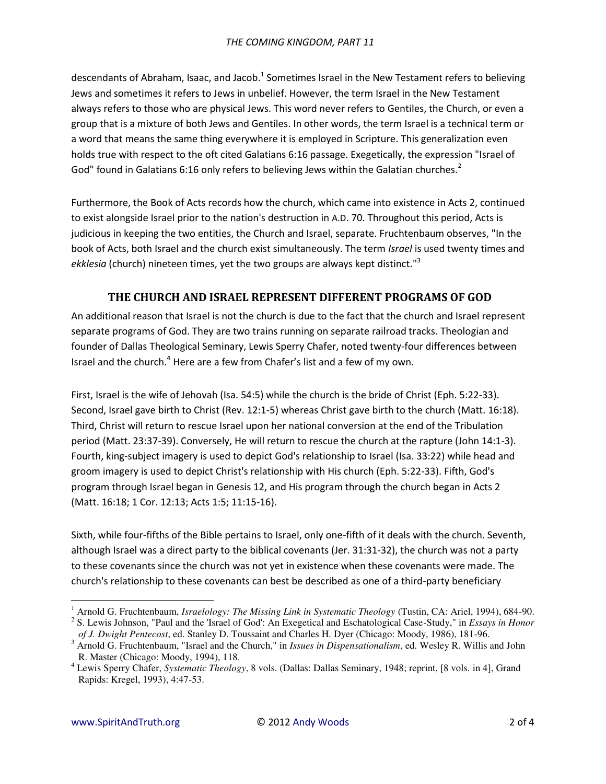descendants of Abraham, Isaac, and Jacob.<sup>1</sup> Sometimes Israel in the New Testament refers to believing Jews and sometimes it refers to Jews in unbelief. However, the term Israel in the New Testament always refers to those who are physical Jews. This word never refers to Gentiles, the Church, or even a group that is a mixture of both Jews and Gentiles. In other words, the term Israel is a technical term or a word that means the same thing everywhere it is employed in Scripture. This generalization even holds true with respect to the oft cited Galatians 6:16 passage. Exegetically, the expression "Israel of God" found in Galatians 6:16 only refers to believing Jews within the Galatian churches.<sup>2</sup>

Furthermore, the Book of Acts records how the church, which came into existence in Acts 2, continued to exist alongside Israel prior to the nation's destruction in A.D. 70. Throughout this period, Acts is judicious in keeping the two entities, the Church and Israel, separate. Fruchtenbaum observes, "In the book of Acts, both Israel and the church exist simultaneously. The term *Israel* is used twenty times and *ekklesia* (church) nineteen times, yet the two groups are always kept distinct."<sup>3</sup>

# **THE CHURCH AND ISRAEL REPRESENT DIFFERENT PROGRAMS OF GOD**

An additional reason that Israel is not the church is due to the fact that the church and Israel represent separate programs of God. They are two trains running on separate railroad tracks. Theologian and founder of Dallas Theological Seminary, Lewis Sperry Chafer, noted twenty-four differences between Israel and the church.<sup>4</sup> Here are a few from Chafer's list and a few of my own.

First, Israel is the wife of Jehovah (Isa. 54:5) while the church is the bride of Christ (Eph. 5:22-33). Second, Israel gave birth to Christ (Rev. 12:1-5) whereas Christ gave birth to the church (Matt. 16:18). Third, Christ will return to rescue Israel upon her national conversion at the end of the Tribulation period (Matt. 23:37-39). Conversely, He will return to rescue the church at the rapture (John 14:1-3). Fourth, king-subject imagery is used to depict God's relationship to Israel (Isa. 33:22) while head and groom imagery is used to depict Christ's relationship with His church (Eph. 5:22-33). Fifth, God's program through Israel began in Genesis 12, and His program through the church began in Acts 2 (Matt. 16:18; 1 Cor. 12:13; Acts 1:5; 11:15-16).

Sixth, while four-fifths of the Bible pertains to Israel, only one-fifth of it deals with the church. Seventh, although Israel was a direct party to the biblical covenants (Jer. 31:31-32), the church was not a party to these covenants since the church was not yet in existence when these covenants were made. The church's relationship to these covenants can best be described as one of a third-party beneficiary

 $\overline{a}$ 

<sup>&</sup>lt;sup>1</sup> Arnold G. Fruchtenbaum, *Israelology: The Missing Link in Systematic Theology* (Tustin, CA: Ariel, 1994), 684-90.

<sup>2</sup> S. Lewis Johnson, "Paul and the 'Israel of God': An Exegetical and Eschatological Case-Study," in *Essays in Honor of J. Dwight Pentecost*, ed. Stanley D. Toussaint and Charles H. Dyer (Chicago: Moody, 1986), 181-96.

<sup>&</sup>lt;sup>3</sup> Arnold G. Fruchtenbaum, "Israel and the Church," in *Issues in Dispensationalism*, ed. Wesley R. Willis and John R. Master (Chicago: Moody, 1994), 118.

<sup>4</sup> Lewis Sperry Chafer, *Systematic Theology*, 8 vols. (Dallas: Dallas Seminary, 1948; reprint, [8 vols. in 4], Grand Rapids: Kregel, 1993), 4:47-53.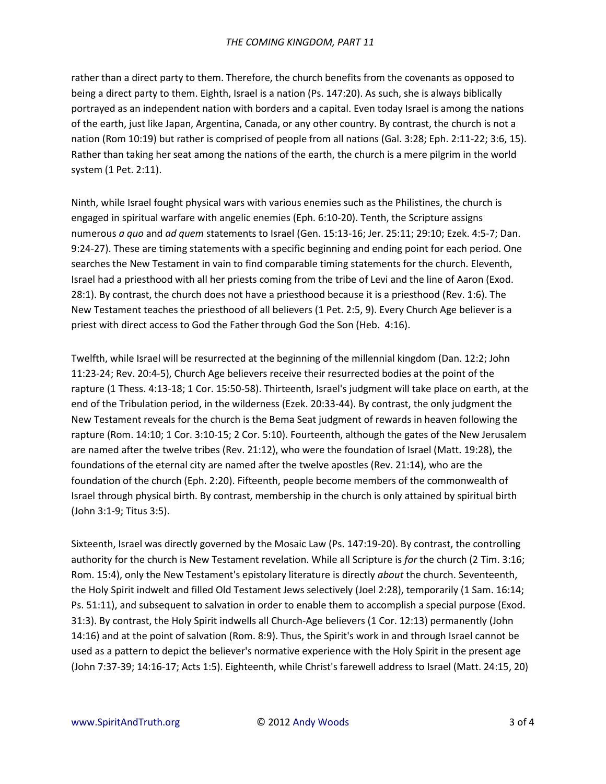### *THE COMING KINGDOM, PART 11*

rather than a direct party to them. Therefore, the church benefits from the covenants as opposed to being a direct party to them. Eighth, Israel is a nation (Ps. 147:20). As such, she is always biblically portrayed as an independent nation with borders and a capital. Even today Israel is among the nations of the earth, just like Japan, Argentina, Canada, or any other country. By contrast, the church is not a nation (Rom 10:19) but rather is comprised of people from all nations (Gal. 3:28; Eph. 2:11-22; 3:6, 15). Rather than taking her seat among the nations of the earth, the church is a mere pilgrim in the world system (1 Pet. 2:11).

Ninth, while Israel fought physical wars with various enemies such as the Philistines, the church is engaged in spiritual warfare with angelic enemies (Eph. 6:10-20). Tenth, the Scripture assigns numerous *a quo* and *ad quem* statements to Israel (Gen. 15:13-16; Jer. 25:11; 29:10; Ezek. 4:5-7; Dan. 9:24-27). These are timing statements with a specific beginning and ending point for each period. One searches the New Testament in vain to find comparable timing statements for the church. Eleventh, Israel had a priesthood with all her priests coming from the tribe of Levi and the line of Aaron (Exod. 28:1). By contrast, the church does not have a priesthood because it is a priesthood (Rev. 1:6). The New Testament teaches the priesthood of all believers (1 Pet. 2:5, 9). Every Church Age believer is a priest with direct access to God the Father through God the Son (Heb. 4:16).

Twelfth, while Israel will be resurrected at the beginning of the millennial kingdom (Dan. 12:2; John 11:23-24; Rev. 20:4-5), Church Age believers receive their resurrected bodies at the point of the rapture (1 Thess. 4:13-18; 1 Cor. 15:50-58). Thirteenth, Israel's judgment will take place on earth, at the end of the Tribulation period, in the wilderness (Ezek. 20:33-44). By contrast, the only judgment the New Testament reveals for the church is the Bema Seat judgment of rewards in heaven following the rapture (Rom. 14:10; 1 Cor. 3:10-15; 2 Cor. 5:10). Fourteenth, although the gates of the New Jerusalem are named after the twelve tribes (Rev. 21:12), who were the foundation of Israel (Matt. 19:28), the foundations of the eternal city are named after the twelve apostles (Rev. 21:14), who are the foundation of the church (Eph. 2:20). Fifteenth, people become members of the commonwealth of Israel through physical birth. By contrast, membership in the church is only attained by spiritual birth (John 3:1-9; Titus 3:5).

Sixteenth, Israel was directly governed by the Mosaic Law (Ps. 147:19-20). By contrast, the controlling authority for the church is New Testament revelation. While all Scripture is *for* the church (2 Tim. 3:16; Rom. 15:4), only the New Testament's epistolary literature is directly *about* the church. Seventeenth, the Holy Spirit indwelt and filled Old Testament Jews selectively (Joel 2:28), temporarily (1 Sam. 16:14; Ps. 51:11), and subsequent to salvation in order to enable them to accomplish a special purpose (Exod. 31:3). By contrast, the Holy Spirit indwells all Church-Age believers (1 Cor. 12:13) permanently (John 14:16) and at the point of salvation (Rom. 8:9). Thus, the Spirit's work in and through Israel cannot be used as a pattern to depict the believer's normative experience with the Holy Spirit in the present age (John 7:37-39; 14:16-17; Acts 1:5). Eighteenth, while Christ's farewell address to Israel (Matt. 24:15, 20)